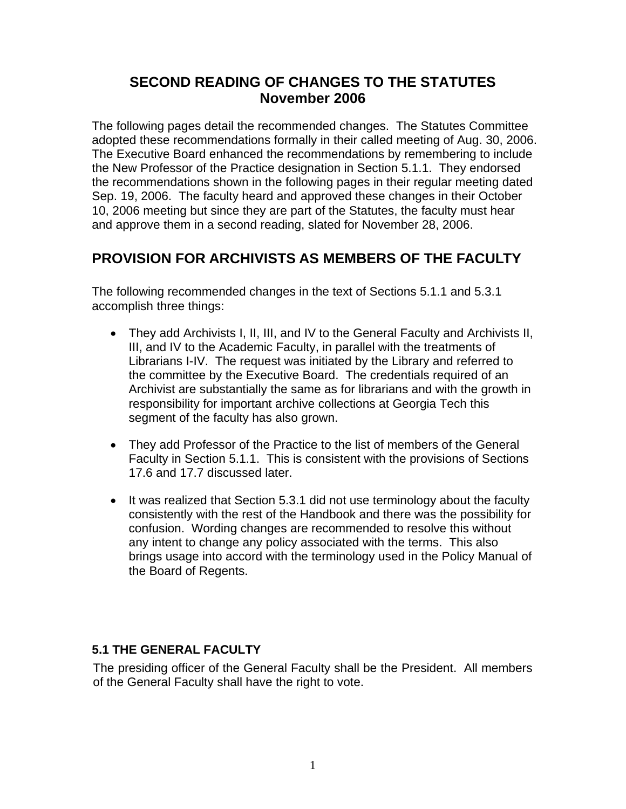# **SECOND READING OF CHANGES TO THE STATUTES November 2006**

The following pages detail the recommended changes. The Statutes Committee adopted these recommendations formally in their called meeting of Aug. 30, 2006. The Executive Board enhanced the recommendations by remembering to include the New Professor of the Practice designation in Section 5.1.1. They endorsed the recommendations shown in the following pages in their regular meeting dated Sep. 19, 2006. The faculty heard and approved these changes in their October 10, 2006 meeting but since they are part of the Statutes, the faculty must hear and approve them in a second reading, slated for November 28, 2006.

# **PROVISION FOR ARCHIVISTS AS MEMBERS OF THE FACULTY**

The following recommended changes in the text of Sections 5.1.1 and 5.3.1 accomplish three things:

- They add Archivists I, II, III, and IV to the General Faculty and Archivists II, III, and IV to the Academic Faculty, in parallel with the treatments of Librarians I-IV. The request was initiated by the Library and referred to the committee by the Executive Board. The credentials required of an Archivist are substantially the same as for librarians and with the growth in responsibility for important archive collections at Georgia Tech this segment of the faculty has also grown.
- They add Professor of the Practice to the list of members of the General Faculty in Section 5.1.1. This is consistent with the provisions of Sections 17.6 and 17.7 discussed later.
- It was realized that Section 5.3.1 did not use terminology about the faculty consistently with the rest of the Handbook and there was the possibility for confusion. Wording changes are recommended to resolve this without any intent to change any policy associated with the terms. This also brings usage into accord with the terminology used in the Policy Manual of the Board of Regents.

### **5.1 THE GENERAL FACULTY**

The presiding officer of the General Faculty shall be the President. All members of the General Faculty shall have the right to vote.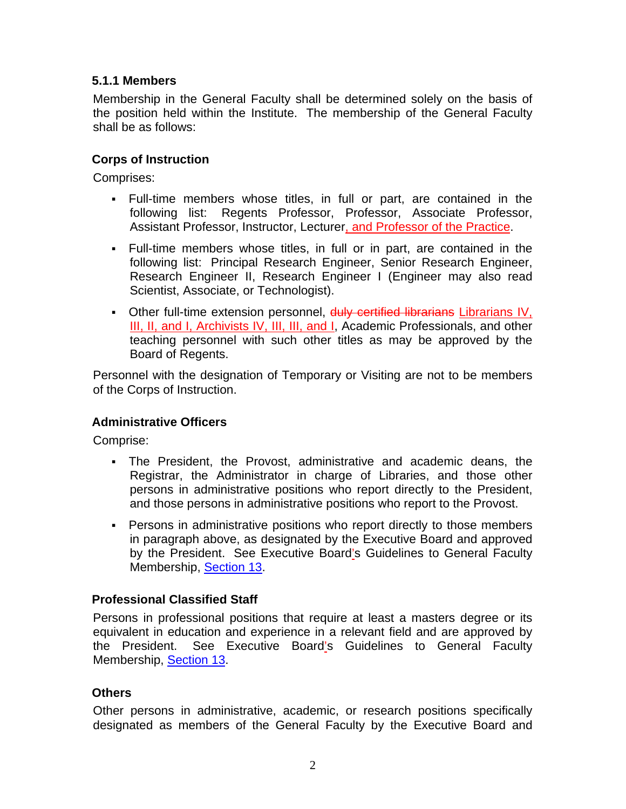### **5.1.1 Members**

Membership in the General Faculty shall be determined solely on the basis of the position held within the Institute. The membership of the General Faculty shall be as follows:

#### **Corps of Instruction**

Comprises:

- Full-time members whose titles, in full or part, are contained in the following list: Regents Professor, Professor, Associate Professor, Assistant Professor, Instructor, Lecturer, and Professor of the Practice.
- Full-time members whose titles, in full or in part, are contained in the following list: Principal Research Engineer, Senior Research Engineer, Research Engineer II, Research Engineer I (Engineer may also read Scientist, Associate, or Technologist).
- Other full-time extension personnel, duly certified librarians Librarians IV, III, II, and I, Archivists IV, III, III, and I, Academic Professionals, and other teaching personnel with such other titles as may be approved by the Board of Regents.

Personnel with the designation of Temporary or Visiting are not to be members of the Corps of Instruction.

#### **Administrative Officers**

Comprise:

- The President, the Provost, administrative and academic deans, the Registrar, the Administrator in charge of Libraries, and those other persons in administrative positions who report directly to the President, and those persons in administrative positions who report to the Provost.
- Persons in administrative positions who report directly to those members in paragraph above, as designated by the Executive Board and approved by the President. See Executive Board's Guidelines to General Faculty Membership, Section 13.

#### **Professional Classified Staff**

Persons in professional positions that require at least a masters degree or its equivalent in education and experience in a relevant field and are approved by the President. See Executive Board's Guidelines to General Faculty Membership, Section 13.

#### **Others**

Other persons in administrative, academic, or research positions specifically designated as members of the General Faculty by the Executive Board and